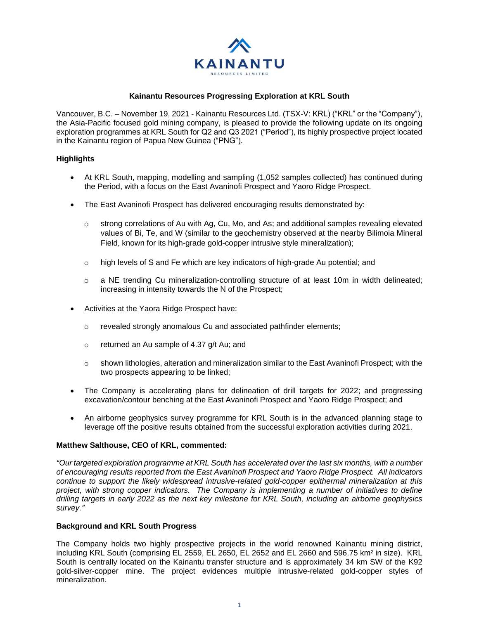

# **Kainantu Resources Progressing Exploration at KRL South**

Vancouver, B.C. – November 19, 2021 - Kainantu Resources Ltd. (TSX-V: KRL) ("KRL" or the "Company"), the Asia-Pacific focused gold mining company, is pleased to provide the following update on its ongoing exploration programmes at KRL South for Q2 and Q3 2021 ("Period"), its highly prospective project located in the Kainantu region of Papua New Guinea ("PNG").

# **Highlights**

- At KRL South, mapping, modelling and sampling (1,052 samples collected) has continued during the Period, with a focus on the East Avaninofi Prospect and Yaoro Ridge Prospect.
- The East Avaninofi Prospect has delivered encouraging results demonstrated by:
	- o strong correlations of Au with Ag, Cu, Mo, and As; and additional samples revealing elevated values of Bi, Te, and W (similar to the geochemistry observed at the nearby Bilimoia Mineral Field, known for its high-grade gold-copper intrusive style mineralization);
	- $\circ$  high levels of S and Fe which are key indicators of high-grade Au potential; and
	- $\circ$  a NE trending Cu mineralization-controlling structure of at least 10m in width delineated; increasing in intensity towards the N of the Prospect;
- Activities at the Yaora Ridge Prospect have:
	- o revealed strongly anomalous Cu and associated pathfinder elements;
	- o returned an Au sample of 4.37 g/t Au; and
	- $\circ$  shown lithologies, alteration and mineralization similar to the East Avaninofi Prospect; with the two prospects appearing to be linked;
- The Company is accelerating plans for delineation of drill targets for 2022; and progressing excavation/contour benching at the East Avaninofi Prospect and Yaoro Ridge Prospect; and
- An airborne geophysics survey programme for KRL South is in the advanced planning stage to leverage off the positive results obtained from the successful exploration activities during 2021.

# **Matthew Salthouse, CEO of KRL, commented:**

*"Our targeted exploration programme at KRL South has accelerated over the last six months, with a number of encouraging results reported from the East Avaninofi Prospect and Yaoro Ridge Prospect. All indicators continue to support the likely widespread intrusive-related gold-copper epithermal mineralization at this project, with strong copper indicators. The Company is implementing a number of initiatives to define drilling targets in early 2022 as the next key milestone for KRL South, including an airborne geophysics survey."* 

# **Background and KRL South Progress**

The Company holds two highly prospective projects in the world renowned Kainantu mining district, including KRL South (comprising EL 2559, EL 2650, EL 2652 and EL 2660 and 596.75 km*²* in size). KRL South is centrally located on the Kainantu transfer structure and is approximately 34 km SW of the K92 gold-silver-copper mine. The project evidences multiple intrusive-related gold-copper styles of mineralization.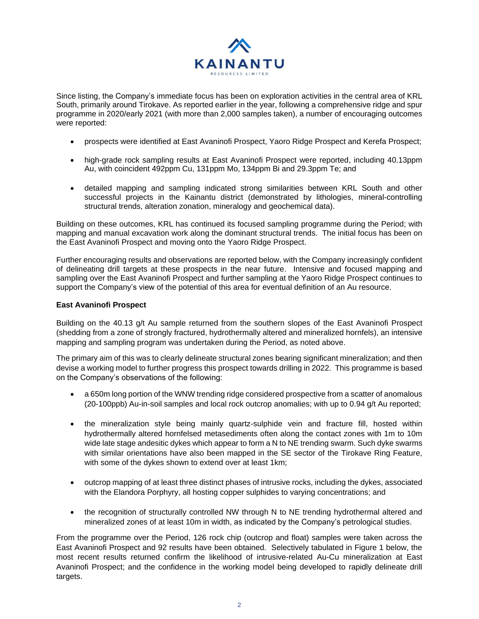

Since listing, the Company's immediate focus has been on exploration activities in the central area of KRL South, primarily around Tirokave. As reported earlier in the year, following a comprehensive ridge and spur programme in 2020/early 2021 (with more than 2,000 samples taken), a number of encouraging outcomes were reported:

- prospects were identified at East Avaninofi Prospect, Yaoro Ridge Prospect and Kerefa Prospect;
- high-grade rock sampling results at East Avaninofi Prospect were reported, including 40.13ppm Au, with coincident 492ppm Cu, 131ppm Mo, 134ppm Bi and 29.3ppm Te; and
- detailed mapping and sampling indicated strong similarities between KRL South and other successful projects in the Kainantu district (demonstrated by lithologies, mineral-controlling structural trends, alteration zonation, mineralogy and geochemical data).

Building on these outcomes, KRL has continued its focused sampling programme during the Period; with mapping and manual excavation work along the dominant structural trends. The initial focus has been on the East Avaninofi Prospect and moving onto the Yaoro Ridge Prospect.

Further encouraging results and observations are reported below, with the Company increasingly confident of delineating drill targets at these prospects in the near future. Intensive and focused mapping and sampling over the East Avaninofi Prospect and further sampling at the Yaoro Ridge Prospect continues to support the Company's view of the potential of this area for eventual definition of an Au resource.

# **East Avaninofi Prospect**

Building on the 40.13 g/t Au sample returned from the southern slopes of the East Avaninofi Prospect (shedding from a zone of strongly fractured, hydrothermally altered and mineralized hornfels), an intensive mapping and sampling program was undertaken during the Period, as noted above.

The primary aim of this was to clearly delineate structural zones bearing significant mineralization; and then devise a working model to further progress this prospect towards drilling in 2022. This programme is based on the Company's observations of the following:

- a 650m long portion of the WNW trending ridge considered prospective from a scatter of anomalous (20-100ppb) Au-in-soil samples and local rock outcrop anomalies; with up to 0.94 g/t Au reported;
- the mineralization style being mainly quartz-sulphide vein and fracture fill, hosted within hydrothermally altered hornfelsed metasediments often along the contact zones with 1m to 10m wide late stage andesitic dykes which appear to form a N to NE trending swarm. Such dyke swarms with similar orientations have also been mapped in the SE sector of the Tirokave Ring Feature, with some of the dykes shown to extend over at least 1km;
- outcrop mapping of at least three distinct phases of intrusive rocks, including the dykes, associated with the Elandora Porphyry, all hosting copper sulphides to varying concentrations; and
- the recognition of structurally controlled NW through N to NE trending hydrothermal altered and mineralized zones of at least 10m in width, as indicated by the Company's petrological studies.

From the programme over the Period, 126 rock chip (outcrop and float) samples were taken across the East Avaninofi Prospect and 92 results have been obtained. Selectively tabulated in Figure 1 below, the most recent results returned confirm the likelihood of intrusive-related Au-Cu mineralization at East Avaninofi Prospect; and the confidence in the working model being developed to rapidly delineate drill targets.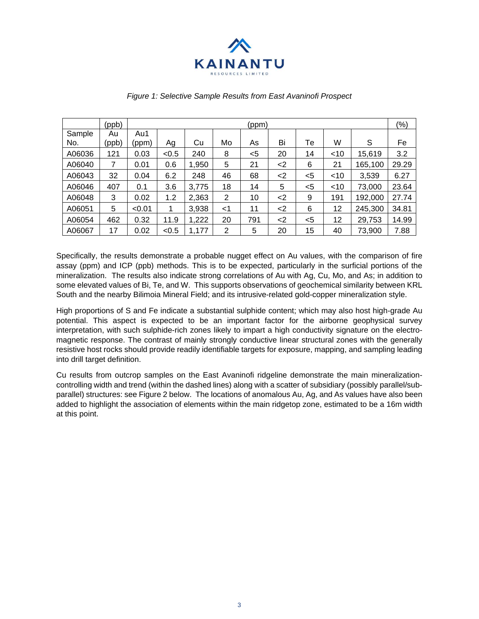

|        | (ppb) | (ppm)  |       |       |                |     |       |       |        |         | (% )  |
|--------|-------|--------|-------|-------|----------------|-----|-------|-------|--------|---------|-------|
| Sample | Au    | Au1    |       |       |                |     |       |       |        |         |       |
| No.    | (ppb) | (ppm)  | Ag    | Cu    | Mo             | As  | Bi    | Тe    | W      | S       | Fe    |
| A06036 | 121   | 0.03   | < 0.5 | 240   | 8              | <5  | 20    | 14    | $<$ 10 | 15,619  | 3.2   |
| A06040 | 7     | 0.01   | 0.6   | 1,950 | 5              | 21  | $<$ 2 | 6     | 21     | 165,100 | 29.29 |
| A06043 | 32    | 0.04   | 6.2   | 248   | 46             | 68  | $<$ 2 | $<$ 5 | $<$ 10 | 3,539   | 6.27  |
| A06046 | 407   | 0.1    | 3.6   | 3,775 | 18             | 14  | 5     | $<$ 5 | ~10    | 73,000  | 23.64 |
| A06048 | 3     | 0.02   | 1.2   | 2,363 | 2              | 10  | <     | 9     | 191    | 192,000 | 27.74 |
| A06051 | 5     | < 0.01 | 1     | 3,938 | $<$ 1          | 11  | $<$ 2 | 6     | 12     | 245,300 | 34.81 |
| A06054 | 462   | 0.32   | 11.9  | 1,222 | 20             | 791 | $<$ 2 | $<$ 5 | 12     | 29,753  | 14.99 |
| A06067 | 17    | 0.02   | < 0.5 | 1,177 | $\overline{2}$ | 5   | 20    | 15    | 40     | 73,900  | 7.88  |

#### *Figure 1: Selective Sample Results from East Avaninofi Prospect*

Specifically, the results demonstrate a probable nugget effect on Au values, with the comparison of fire assay (ppm) and ICP (ppb) methods. This is to be expected, particularly in the surficial portions of the mineralization. The results also indicate strong correlations of Au with Ag, Cu, Mo, and As; in addition to some elevated values of Bi, Te, and W. This supports observations of geochemical similarity between KRL South and the nearby Bilimoia Mineral Field; and its intrusive-related gold-copper mineralization style.

High proportions of S and Fe indicate a substantial sulphide content; which may also host high-grade Au potential. This aspect is expected to be an important factor for the airborne geophysical survey interpretation, with such sulphide-rich zones likely to impart a high conductivity signature on the electromagnetic response. The contrast of mainly strongly conductive linear structural zones with the generally resistive host rocks should provide readily identifiable targets for exposure, mapping, and sampling leading into drill target definition.

Cu results from outcrop samples on the East Avaninofi ridgeline demonstrate the main mineralizationcontrolling width and trend (within the dashed lines) along with a scatter of subsidiary (possibly parallel/subparallel) structures: see Figure 2 below. The locations of anomalous Au, Ag, and As values have also been added to highlight the association of elements within the main ridgetop zone, estimated to be a 16m width at this point.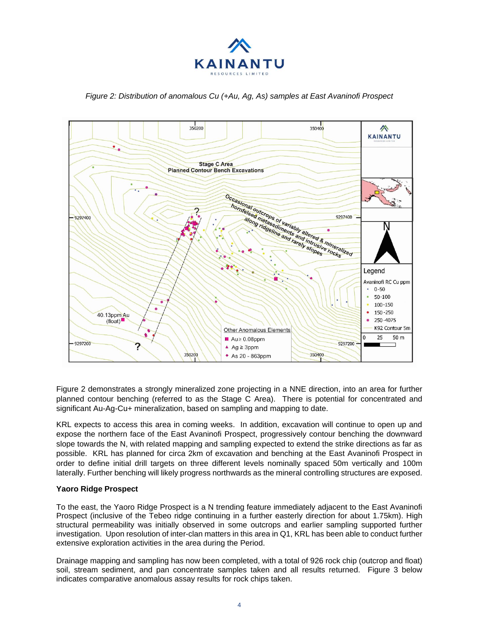

# *Figure 2: Distribution of anomalous Cu (+Au, Ag, As) samples at East Avaninofi Prospect*



Figure 2 demonstrates a strongly mineralized zone projecting in a NNE direction, into an area for further planned contour benching (referred to as the Stage C Area). There is potential for concentrated and significant Au-Ag-Cu+ mineralization, based on sampling and mapping to date.

KRL expects to access this area in coming weeks. In addition, excavation will continue to open up and expose the northern face of the East Avaninofi Prospect, progressively contour benching the downward slope towards the N, with related mapping and sampling expected to extend the strike directions as far as possible. KRL has planned for circa 2km of excavation and benching at the East Avaninofi Prospect in order to define initial drill targets on three different levels nominally spaced 50m vertically and 100m laterally. Further benching will likely progress northwards as the mineral controlling structures are exposed.

# **Yaoro Ridge Prospect**

To the east, the Yaoro Ridge Prospect is a N trending feature immediately adjacent to the East Avaninofi Prospect (inclusive of the Tebeo ridge continuing in a further easterly direction for about 1.75km). High structural permeability was initially observed in some outcrops and earlier sampling supported further investigation. Upon resolution of inter-clan matters in this area in Q1, KRL has been able to conduct further extensive exploration activities in the area during the Period.

Drainage mapping and sampling has now been completed, with a total of 926 rock chip (outcrop and float) soil, stream sediment, and pan concentrate samples taken and all results returned. Figure 3 below indicates comparative anomalous assay results for rock chips taken.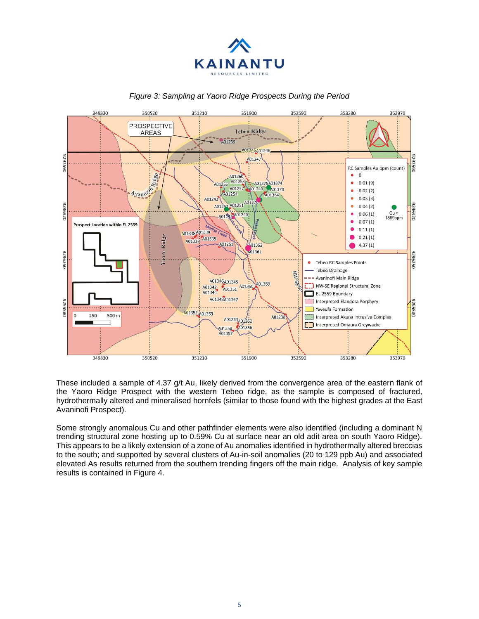



#### *Figure 3: Sampling at Yaoro Ridge Prospects During the Period*

These included a sample of 4.37 g/t Au, likely derived from the convergence area of the eastern flank of the Yaoro Ridge Prospect with the western Tebeo ridge, as the sample is composed of fractured, hydrothermally altered and mineralised hornfels (similar to those found with the highest grades at the East Avaninofi Prospect).

Some strongly anomalous Cu and other pathfinder elements were also identified (including a dominant N trending structural zone hosting up to 0.59% Cu at surface near an old adit area on south Yaoro Ridge). This appears to be a likely extension of a zone of Au anomalies identified in hydrothermally altered breccias to the south; and supported by several clusters of Au-in-soil anomalies (20 to 129 ppb Au) and associated elevated As results returned from the southern trending fingers off the main ridge. Analysis of key sample results is contained in Figure 4.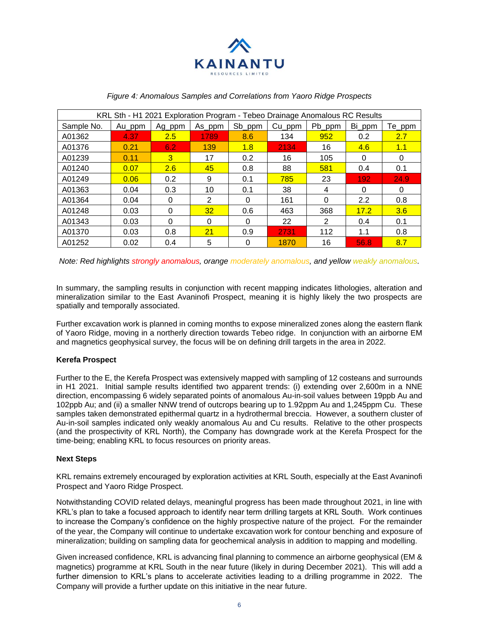

| KRL Sth - H1 2021 Exploration Program - Tebeo Drainage Anomalous RC Results |        |        |                 |        |           |        |        |        |  |  |  |
|-----------------------------------------------------------------------------|--------|--------|-----------------|--------|-----------|--------|--------|--------|--|--|--|
| Sample No.                                                                  | Au_ppm | Ag_ppm | As_ppm          | Sb_ppm | $Cu\_ppm$ | Pb_ppm | Bi_ppm | Te_ppm |  |  |  |
| A01362                                                                      | 4.37   | 2.5    | 1789            | 8.6    | 134       | 952    | 0.2    | 2.7    |  |  |  |
| A01376                                                                      | 0.21   | 6.2    | 139             | 1.8    | 2134      | 16     | 4.6    | 1.1    |  |  |  |
| A01239                                                                      | 0.11   | 3      | 17              | 0.2    | 16        | 105    | 0      | 0      |  |  |  |
| A01240                                                                      | 0.07   | 2.6    | 45              | 0.8    | 88        | 581    | 0.4    | 0.1    |  |  |  |
| A01249                                                                      | 0.06   | 0.2    | 9               | 0.1    | 785       | 23     | 192    | 24.9   |  |  |  |
| A01363                                                                      | 0.04   | 0.3    | 10              | 0.1    | 38        | 4      | 0      | 0      |  |  |  |
| A01364                                                                      | 0.04   | 0      | 2               | 0      | 161       | 0      | 2.2    | 0.8    |  |  |  |
| A01248                                                                      | 0.03   | 0      | 32 <sub>2</sub> | 0.6    | 463       | 368    | 17.2   | 3.6    |  |  |  |
| A01343                                                                      | 0.03   | 0      | $\Omega$        | 0      | 22        | 2      | 0.4    | 0.1    |  |  |  |
| A01370                                                                      | 0.03   | 0.8    | 21              | 0.9    | 2731      | 112    | 1.1    | 0.8    |  |  |  |
| A01252                                                                      | 0.02   | 0.4    | 5               | 0      | 1870      | 16     | 56.8   | 8.7    |  |  |  |

#### *Figure 4: Anomalous Samples and Correlations from Yaoro Ridge Prospects*

*Note: Red highlights strongly anomalous, orange moderately anomalous, and yellow weakly anomalous.*

In summary, the sampling results in conjunction with recent mapping indicates lithologies, alteration and mineralization similar to the East Avaninofi Prospect, meaning it is highly likely the two prospects are spatially and temporally associated.

Further excavation work is planned in coming months to expose mineralized zones along the eastern flank of Yaoro Ridge, moving in a northerly direction towards Tebeo ridge. In conjunction with an airborne EM and magnetics geophysical survey, the focus will be on defining drill targets in the area in 2022.

# **Kerefa Prospect**

Further to the E, the Kerefa Prospect was extensively mapped with sampling of 12 costeans and surrounds in H1 2021. Initial sample results identified two apparent trends: (i) extending over 2,600m in a NNE direction, encompassing 6 widely separated points of anomalous Au-in-soil values between 19ppb Au and 102ppb Au; and (ii) a smaller NNW trend of outcrops bearing up to 1.92ppm Au and 1,245ppm Cu. These samples taken demonstrated epithermal quartz in a hydrothermal breccia. However, a southern cluster of Au-in-soil samples indicated only weakly anomalous Au and Cu results. Relative to the other prospects (and the prospectivity of KRL North), the Company has downgrade work at the Kerefa Prospect for the time-being; enabling KRL to focus resources on priority areas.

# **Next Steps**

KRL remains extremely encouraged by exploration activities at KRL South, especially at the East Avaninofi Prospect and Yaoro Ridge Prospect.

Notwithstanding COVID related delays, meaningful progress has been made throughout 2021, in line with KRL's plan to take a focused approach to identify near term drilling targets at KRL South. Work continues to increase the Company's confidence on the highly prospective nature of the project. For the remainder of the year, the Company will continue to undertake excavation work for contour benching and exposure of mineralization; building on sampling data for geochemical analysis in addition to mapping and modelling.

Given increased confidence, KRL is advancing final planning to commence an airborne geophysical (EM & magnetics) programme at KRL South in the near future (likely in during December 2021). This will add a further dimension to KRL's plans to accelerate activities leading to a drilling programme in 2022. The Company will provide a further update on this initiative in the near future.